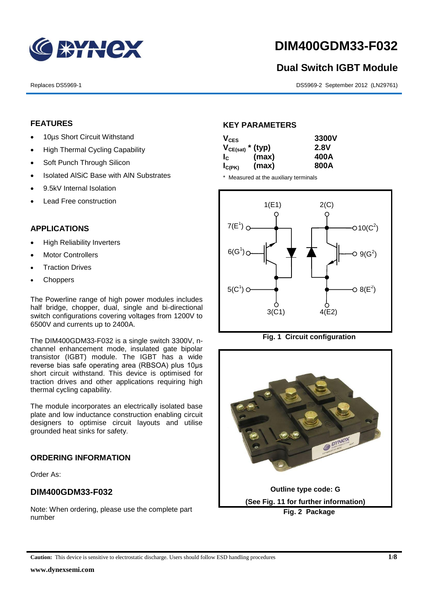

# **DIM400GDM33-F032**

## **Dual Switch IGBT Module**

Replaces DS5969-1 DS5969-2 September 2012 (LN29761)

#### **FEATURES**

- 10us Short Circuit Withstand
- High Thermal Cycling Capability
- Soft Punch Through Silicon
- Isolated AISiC Base with AIN Substrates
- 9.5kV Internal Isolation
- Lead Free construction

#### **APPLICATIONS**

- High Reliability Inverters
- Motor Controllers
- Traction Drives
- Choppers

The Powerline range of high power modules includes half bridge, chopper, dual, single and bi-directional switch configurations covering voltages from 1200V to 6500V and currents up to 2400A.

The DIM400GDM33-F032 is a single switch 3300V, nchannel enhancement mode, insulated gate bipolar transistor (IGBT) module. The IGBT has a wide reverse bias safe operating area (RBSOA) plus 10μs short circuit withstand. This device is optimised for traction drives and other applications requiring high thermal cycling capability.

The module incorporates an electrically isolated base plate and low inductance construction enabling circuit designers to optimise circuit layouts and utilise grounded heat sinks for safety.

#### **ORDERING INFORMATION**

Order As:

#### **DIM400GDM33-F032**

Note: When ordering, please use the complete part number

#### **KEY PARAMETERS**

| $V_{CES}$             |       | 3300V       |
|-----------------------|-------|-------------|
| $V_{CE(sat)}$ * (typ) |       | <b>2.8V</b> |
| $I_{\rm c}$           | (max) | 400A        |
| $I_{C(PK)}$           | (max) | 800A        |

\* Measured at the auxiliary terminals





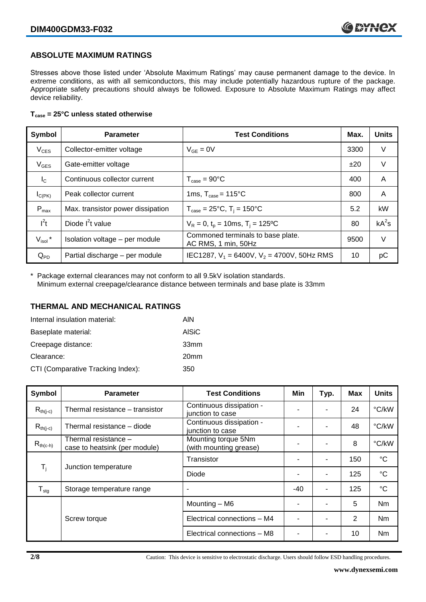#### **ABSOLUTE MAXIMUM RATINGS**

Stresses above those listed under 'Absolute Maximum Ratings' may cause permanent damage to the device. In extreme conditions, as with all semiconductors, this may include potentially hazardous rupture of the package. Appropriate safety precautions should always be followed. Exposure to Absolute Maximum Ratings may affect device reliability.

#### **Tcase = 25°C unless stated otherwise**

| Symbol              | <b>Parameter</b>                  | <b>Test Conditions</b>                                   | Max. | <b>Units</b> |
|---------------------|-----------------------------------|----------------------------------------------------------|------|--------------|
| $V_{CES}$           | Collector-emitter voltage         | $V_{GF} = 0V$                                            | 3300 | V            |
| $V_{\text{GES}}$    | Gate-emitter voltage              |                                                          | ±20  | V            |
| $I_{\rm C}$         | Continuous collector current      | $T_{\text{case}} = 90^{\circ}C$                          | 400  | A            |
| $I_{C(PK)}$         | Peak collector current            | 1ms, $T_{\text{case}} = 115^{\circ}$ C                   | 800  | A            |
| $P_{max}$           | Max. transistor power dissipation | $T_{\text{case}} = 25^{\circ}C$ , $T_i = 150^{\circ}C$   | 5.2  | kW           |
| $I^2t$              | Diode $I^2t$ value                | $V_R = 0$ , $t_p = 10$ ms, T <sub>i</sub> = 125°C        | 80   | $kA^2s$      |
| $V_{\text{isol}}$ * | Isolation voltage - per module    | Commoned terminals to base plate.<br>AC RMS, 1 min, 50Hz | 9500 | V            |
| $Q_{PD}$            | Partial discharge - per module    | IEC1287, $V_1$ = 6400V, $V_2$ = 4700V, 50Hz RMS          | 10   | рC           |

\* Package external clearances may not conform to all 9.5kV isolation standards. Minimum external creepage/clearance distance between terminals and base plate is 33mm

#### **THERMAL AND MECHANICAL RATINGS**

| Internal insulation material:     | AIN              |
|-----------------------------------|------------------|
| Baseplate material:               | AISiC            |
| Creepage distance:                | 33mm             |
| Clearance:                        | 20 <sub>mm</sub> |
| CTI (Comparative Tracking Index): | 350              |

| Symbol                     | <b>Parameter</b>                                      | <b>Test Conditions</b>                        | Min   | Typ.           | Max | <b>Units</b>    |
|----------------------------|-------------------------------------------------------|-----------------------------------------------|-------|----------------|-----|-----------------|
| $R_{th(j-c)}$              | Thermal resistance – transistor                       | Continuous dissipation -<br>junction to case  |       |                | 24  | °C/kW           |
| $R_{th(j-c)}$              | Thermal resistance - diode                            | Continuous dissipation -<br>junction to case  |       |                | 48  | °C/kW           |
| $R_{th(c-h)}$              | Thermal resistance -<br>case to heatsink (per module) | Mounting torque 5Nm<br>(with mounting grease) |       |                | 8   | °C/kW           |
| $T_{\rm i}$                | Junction temperature                                  | Transistor                                    |       | $\blacksquare$ | 150 | $^{\circ}C$     |
|                            |                                                       | Diode                                         |       |                | 125 | $\rm ^{\circ}C$ |
| ${\mathsf T}_{\text{stg}}$ | Storage temperature range                             | ٠                                             | $-40$ | ۰              | 125 | $\rm ^{\circ}C$ |
|                            |                                                       | Mounting - M6                                 |       |                | 5   | <b>Nm</b>       |
|                            | Screw torque                                          | Electrical connections - M4                   |       |                | 2   | Nm              |
|                            |                                                       | Electrical connections - M8                   |       |                | 10  | Nm              |

**2/8** Caution: This device is sensitive to electrostatic discharge. Users should follow ESD handling procedures.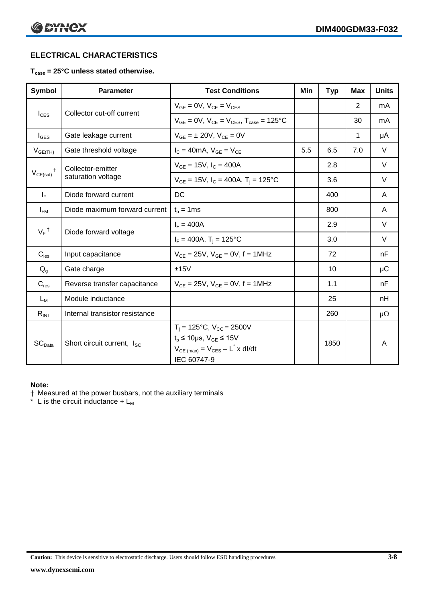### **ELECTRICAL CHARACTERISTICS**

#### **Tcase = 25°C unless stated otherwise.**

| Symbol                        | <b>Parameter</b>                            | <b>Test Conditions</b>                                                                                                                           | Min | <b>Typ</b> | <b>Max</b>  | <b>Units</b> |
|-------------------------------|---------------------------------------------|--------------------------------------------------------------------------------------------------------------------------------------------------|-----|------------|-------------|--------------|
| $I_{\text{CES}}$              | Collector cut-off current                   | $V_{GF} = 0V$ , $V_{CF} = V_{CES}$                                                                                                               |     |            | 2           | mA           |
|                               |                                             | $V_{GF} = 0V$ , $V_{CF} = V_{CES}$ , $T_{case} = 125^{\circ}C$                                                                                   |     |            | 30          | mA           |
| $I_{\text{GES}}$              | Gate leakage current                        | $V_{GF} = \pm 20V$ , $V_{CF} = 0V$                                                                                                               |     |            | $\mathbf 1$ | μA           |
| $V_{GE(TH)}$                  | Gate threshold voltage                      | $I_C = 40mA$ , $V_{GF} = V_{CF}$                                                                                                                 | 5.5 | 6.5        | 7.0         | $\vee$       |
|                               | Collector-emitter                           | $V_{GF} = 15V$ , $I_C = 400A$                                                                                                                    |     | 2.8        |             | V            |
| $V_{CE(sat)}$                 | saturation voltage                          | $V_{GF}$ = 15V, $I_C$ = 400A, T <sub>i</sub> = 125°C                                                                                             |     | 3.6        |             | V            |
| $I_F$                         | Diode forward current                       | DC                                                                                                                                               |     | 400        |             | A            |
| $I_{FM}$                      | Diode maximum forward current               | $t_p = 1$ ms                                                                                                                                     |     | 800        |             | A            |
|                               | $V_F$ <sup>†</sup><br>Diode forward voltage | $I_F = 400A$                                                                                                                                     |     | 2.9        |             | $\vee$       |
|                               |                                             | $I_F = 400A$ , $T_i = 125^{\circ}C$                                                                                                              |     | 3.0        |             | $\vee$       |
| $C_{\text{ies}}$              | Input capacitance                           | $V_{CE} = 25V$ , $V_{GE} = 0V$ , f = 1MHz                                                                                                        |     | 72         |             | nF           |
| $Q_{q}$                       | Gate charge                                 | ±15V                                                                                                                                             |     | 10         |             | μC           |
| $C_{res}$                     | Reverse transfer capacitance                | $V_{CE} = 25V$ , $V_{GE} = 0V$ , f = 1MHz                                                                                                        |     | 1.1        |             | nF           |
| $L_M$                         | Module inductance                           |                                                                                                                                                  |     | 25         |             | nH           |
| $R_{INT}$                     | Internal transistor resistance              |                                                                                                                                                  |     | 260        |             | $\mu\Omega$  |
| $\mathsf{SC}_{\mathsf{Data}}$ | Short circuit current, I <sub>SC</sub>      | $T_i = 125$ °C, $V_{CC} = 2500V$<br>$t_p \le 10 \mu s$ , $V_{GE} \le 15 V$<br>$V_{CE \text{ (max)}} = V_{CES} - L^* \times dl/dt$<br>IEC 60747-9 |     | 1850       |             | A            |

#### **Note:**

† Measured at the power busbars, not the auxiliary terminals

 $*$  L is the circuit inductance + L<sub>M</sub>

**Caution:** This device is sensitive to electrostatic discharge. Users should follow ESD handling procedures **3/8**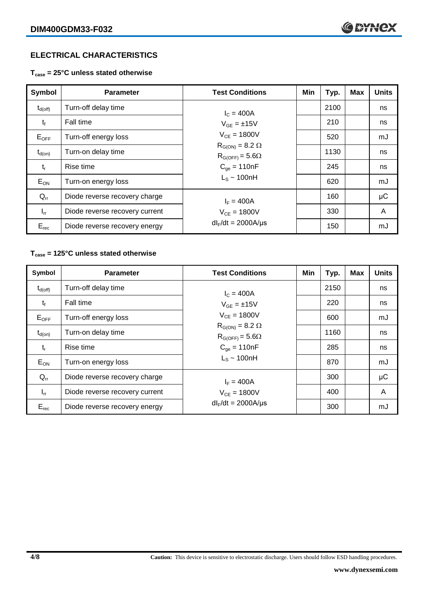#### **ELECTRICAL CHARACTERISTICS**

**Tcase = 25°C unless stated otherwise**

| Symbol              | <b>Parameter</b>               | <b>Test Conditions</b>                               | Min | Typ. | <b>Max</b> | <b>Units</b> |
|---------------------|--------------------------------|------------------------------------------------------|-----|------|------------|--------------|
| $t_{d(\text{off})}$ | Turn-off delay time            | $I_c = 400A$                                         |     | 2100 |            | ns           |
| $t_{f}$             | Fall time                      | $V_{GF} = \pm 15V$                                   |     | 210  |            | ns           |
| $E_{OFF}$           | Turn-off energy loss           | $V_{CE} = 1800V$                                     |     | 520  |            | mJ           |
| $t_{d(on)}$         | Turn-on delay time             | $R_{G(ON)} = 8.2 \Omega$<br>$R_{G(OFF)} = 5.6\Omega$ |     | 1130 |            | ns           |
| $t_{r}$             | Rise time                      | $C_{\text{ae}} = 110nF$                              |     | 245  |            | ns           |
| $E_{ON}$            | Turn-on energy loss            | $L_s \sim 100hH$                                     |     | 620  |            | mJ           |
| $Q_{rr}$            | Diode reverse recovery charge  | $I_F = 400A$                                         |     | 160  |            | μC           |
| $I_{rr}$            | Diode reverse recovery current | $V_{CF} = 1800V$                                     |     | 330  |            | A            |
| $E_{rec}$           | Diode reverse recovery energy  | $dl_F/dt = 2000A/\mu s$                              |     | 150  |            | mJ           |

#### **Tcase = 125°C unless stated otherwise**

| Symbol              | <b>Parameter</b>               | <b>Test Conditions</b>                                                   | Min | Typ. | <b>Max</b> | <b>Units</b> |
|---------------------|--------------------------------|--------------------------------------------------------------------------|-----|------|------------|--------------|
| $t_{d(\text{off})}$ | Turn-off delay time            | $I_c = 400A$                                                             |     | 2150 |            | ns           |
| $t_{f}$             | Fall time                      | $V_{GF} = \pm 15V$                                                       |     | 220  |            | ns           |
| $E_{OFF}$           | Turn-off energy loss           | $V_{CE} = 1800V$<br>$R_{G(ON)} = 8.2 \Omega$<br>$R_{G(OFF)} = 5.6\Omega$ |     | 600  |            | mJ           |
| $t_{d(on)}$         | Turn-on delay time             |                                                                          |     | 1160 |            | ns           |
| $t_{r}$             | Rise time                      | $C_{qe} = 110nF$                                                         |     | 285  |            | ns           |
| $E_{ON}$            | Turn-on energy loss            | $L_s \sim 100nH$                                                         |     | 870  |            | mJ           |
| $Q_{rr}$            | Diode reverse recovery charge  | $I_F = 400A$                                                             |     | 300  |            | μC           |
| $I_{rr}$            | Diode reverse recovery current | $V_{CF} = 1800V$                                                         |     | 400  |            | A            |
| $E_{rec}$           | Diode reverse recovery energy  | $dl_F/dt = 2000A/\mu s$                                                  |     | 300  |            | mJ           |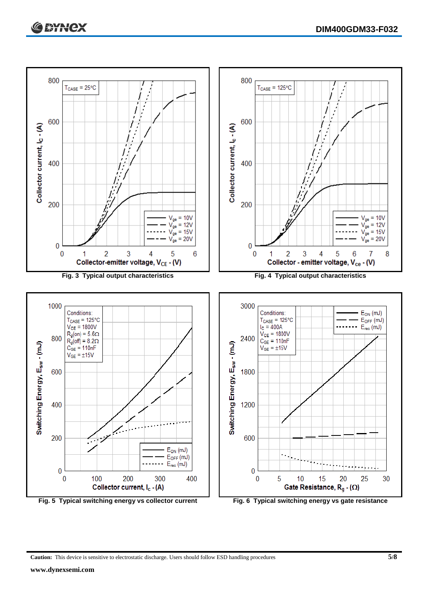

**Caution:** This device is sensitive to electrostatic discharge. Users should follow ESD handling procedures **5/8**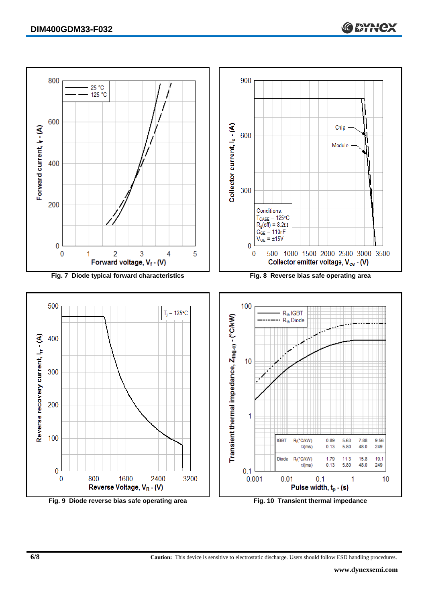

**6/8 Caution:** This device is sensitive to electrostatic discharge. Users should follow ESD handling procedures.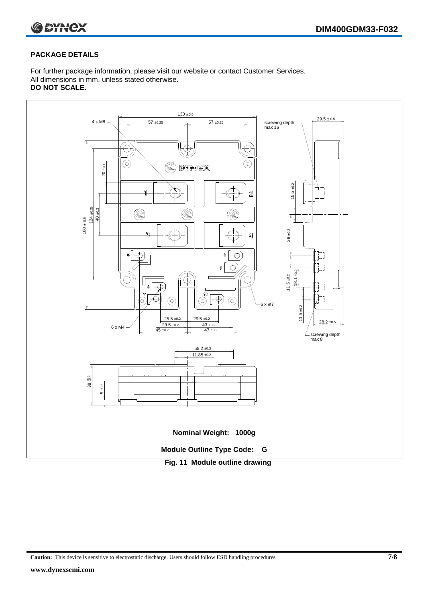

#### **PACKAGE DETAILS**

For further package information, please visit our website or contact Customer Services. All dimensions in mm, unless stated otherwise. **DO NOT SCALE.**



**Caution:** This device is sensitive to electrostatic discharge. Users should follow ESD handling procedures **7/8**